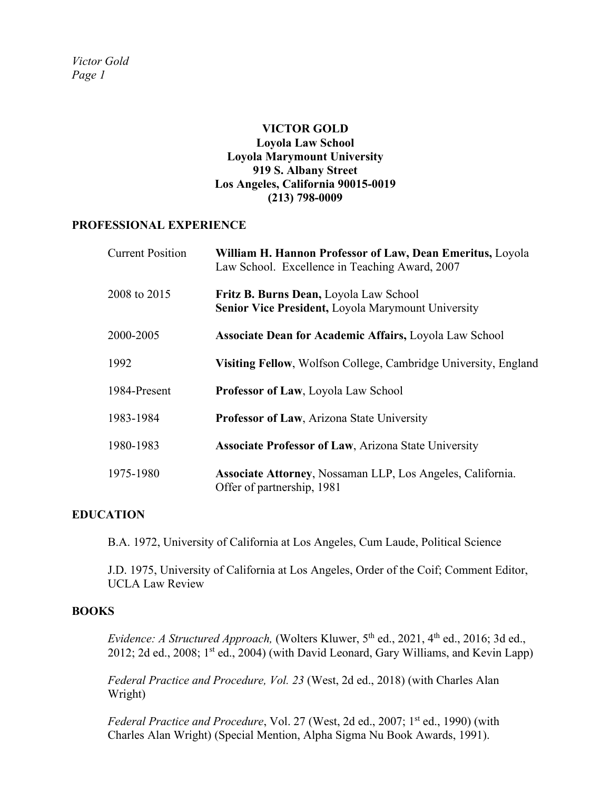# **VICTOR GOLD Loyola Law School Loyola Marymount University 919 S. Albany Street Los Angeles, California 90015-0019 (213) 798-0009**

#### **PROFESSIONAL EXPERIENCE**

| <b>Current Position</b> | William H. Hannon Professor of Law, Dean Emeritus, Loyola<br>Law School. Excellence in Teaching Award, 2007 |
|-------------------------|-------------------------------------------------------------------------------------------------------------|
| 2008 to 2015            | Fritz B. Burns Dean, Loyola Law School<br><b>Senior Vice President, Loyola Marymount University</b>         |
| 2000-2005               | <b>Associate Dean for Academic Affairs, Loyola Law School</b>                                               |
| 1992                    | Visiting Fellow, Wolfson College, Cambridge University, England                                             |
| 1984-Present            | Professor of Law, Loyola Law School                                                                         |
| 1983-1984               | Professor of Law, Arizona State University                                                                  |
| 1980-1983               | <b>Associate Professor of Law, Arizona State University</b>                                                 |
| 1975-1980               | Associate Attorney, Nossaman LLP, Los Angeles, California.<br>Offer of partnership, 1981                    |

# **EDUCATION**

B.A. 1972, University of California at Los Angeles, Cum Laude, Political Science

J.D. 1975, University of California at Los Angeles, Order of the Coif; Comment Editor, UCLA Law Review

# **BOOKS**

*Evidence: A Structured Approach, (Wolters Kluwer, 5<sup>th</sup> ed., 2021, 4<sup>th</sup> ed., 2016; 3d ed.,* 2012; 2d ed., 2008;  $1^{st}$  ed., 2004) (with David Leonard, Gary Williams, and Kevin Lapp)

*Federal Practice and Procedure, Vol. 23* (West, 2d ed., 2018) (with Charles Alan Wright)

*Federal Practice and Procedure*, Vol. 27 (West, 2d ed., 2007; 1<sup>st</sup> ed., 1990) (with Charles Alan Wright) (Special Mention, Alpha Sigma Nu Book Awards, 1991).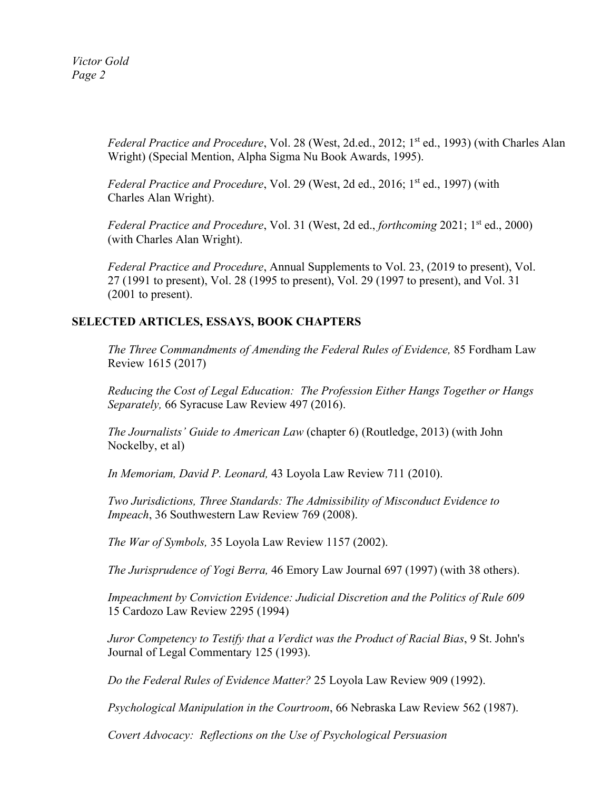*Victor Gold Page 2*

> *Federal Practice and Procedure*, Vol. 28 (West, 2d.ed., 2012; 1<sup>st</sup> ed., 1993) (with Charles Alan Wright) (Special Mention, Alpha Sigma Nu Book Awards, 1995).

*Federal Practice and Procedure*, Vol. 29 (West, 2d ed., 2016; 1<sup>st</sup> ed., 1997) (with Charles Alan Wright).

*Federal Practice and Procedure*, Vol. 31 (West, 2d ed., *forthcoming* 2021; 1<sup>st</sup> ed., 2000) (with Charles Alan Wright).

*Federal Practice and Procedure*, Annual Supplements to Vol. 23, (2019 to present), Vol. 27 (1991 to present), Vol. 28 (1995 to present), Vol. 29 (1997 to present), and Vol. 31 (2001 to present).

# **SELECTED ARTICLES, ESSAYS, BOOK CHAPTERS**

*The Three Commandments of Amending the Federal Rules of Evidence,* 85 Fordham Law Review 1615 (2017)

*Reducing the Cost of Legal Education: The Profession Either Hangs Together or Hangs Separately,* 66 Syracuse Law Review 497 (2016).

*The Journalists' Guide to American Law* (chapter 6) (Routledge, 2013) (with John Nockelby, et al)

*In Memoriam, David P. Leonard,* 43 Loyola Law Review 711 (2010).

*Two Jurisdictions, Three Standards: The Admissibility of Misconduct Evidence to Impeach*, 36 Southwestern Law Review 769 (2008).

*The War of Symbols,* 35 Loyola Law Review 1157 (2002).

*The Jurisprudence of Yogi Berra,* 46 Emory Law Journal 697 (1997) (with 38 others).

*Impeachment by Conviction Evidence: Judicial Discretion and the Politics of Rule 609* 15 Cardozo Law Review 2295 (1994)

*Juror Competency to Testify that a Verdict was the Product of Racial Bias*, 9 St. John's Journal of Legal Commentary 125 (1993).

*Do the Federal Rules of Evidence Matter?* 25 Loyola Law Review 909 (1992).

*Psychological Manipulation in the Courtroom*, 66 Nebraska Law Review 562 (1987).

*Covert Advocacy: Reflections on the Use of Psychological Persuasion*